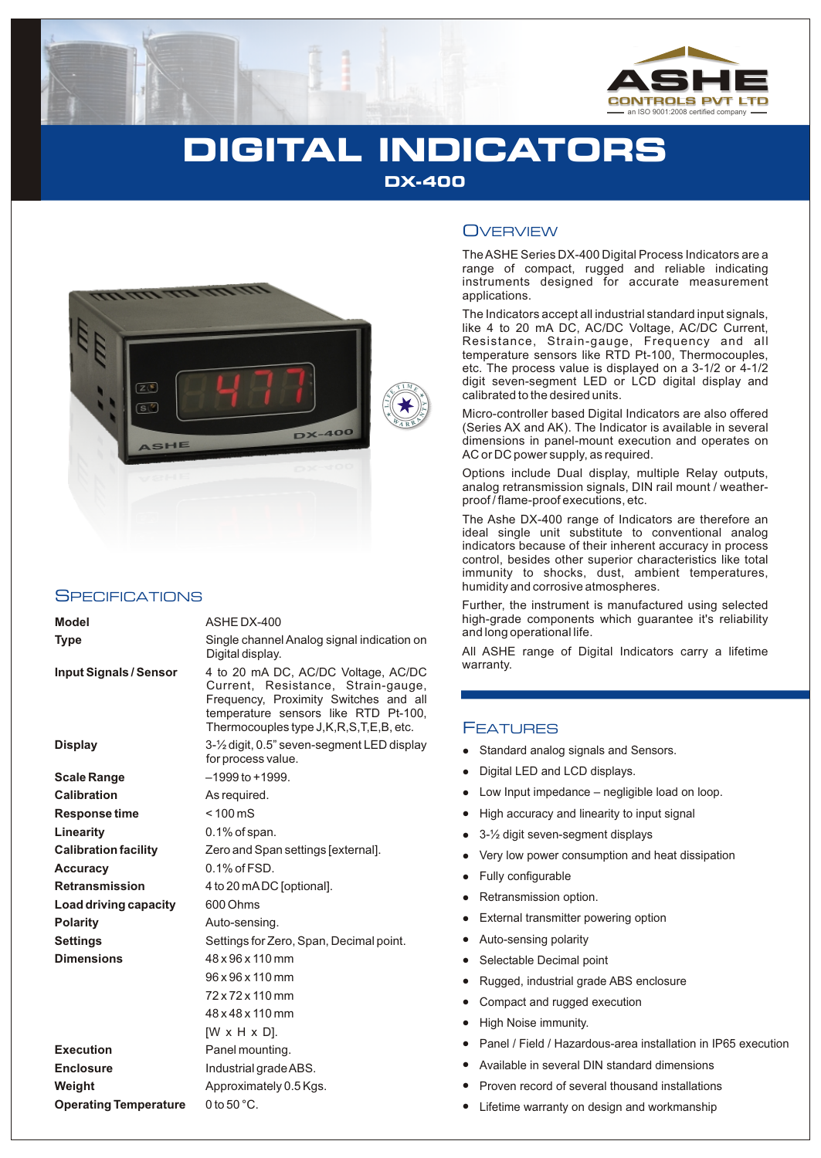

# **DIGITAL INDICATORS DX-400**



# **SPECIFICATIONS**

| <b>Model</b>                 | ASHE DX-400                                                                                                                                                                                                |
|------------------------------|------------------------------------------------------------------------------------------------------------------------------------------------------------------------------------------------------------|
| <b>Type</b>                  | Single channel Analog signal indication on<br>Digital display.                                                                                                                                             |
| Input Signals / Sensor       | 4 to 20 mA DC, AC/DC Voltage, AC/DC<br>Current, Resistance, Strain-gauge,<br>Frequency, Proximity Switches and all<br>temperature sensors like RTD Pt-100,<br>Thermocouples type J, K, R, S, T, E, B, etc. |
| <b>Display</b>               | 3-1/2 digit, 0.5" seven-segment LED display<br>for process value.                                                                                                                                          |
| <b>Scale Range</b>           | $-1999$ to $+1999$ .                                                                                                                                                                                       |
| Calibration                  | As required.                                                                                                                                                                                               |
| Response time                | $< 100 \text{ mS}$                                                                                                                                                                                         |
| Linearity                    | $0.1\%$ of span.                                                                                                                                                                                           |
| <b>Calibration facility</b>  | Zero and Span settings [external].                                                                                                                                                                         |
| <b>Accuracy</b>              | $0.1\%$ of $FSD$ .                                                                                                                                                                                         |
| <b>Retransmission</b>        | 4 to 20 mADC [optional].                                                                                                                                                                                   |
| Load driving capacity        | 600 Ohms                                                                                                                                                                                                   |
| <b>Polarity</b>              | Auto-sensing.                                                                                                                                                                                              |
| <b>Settings</b>              | Settings for Zero, Span, Decimal point.                                                                                                                                                                    |
| <b>Dimensions</b>            | 48 x 96 x 110 mm                                                                                                                                                                                           |
|                              | 96 x 96 x 110 mm                                                                                                                                                                                           |
|                              | $72 \times 72 \times 110$ mm                                                                                                                                                                               |
|                              | 48 x 48 x 110 mm                                                                                                                                                                                           |
|                              | [W x H x D].                                                                                                                                                                                               |
| <b>Execution</b>             | Panel mounting.                                                                                                                                                                                            |
| <b>Enclosure</b>             | Industrial grade ABS.                                                                                                                                                                                      |
| Weight                       | Approximately 0.5 Kgs.                                                                                                                                                                                     |
| <b>Operating Temperature</b> | 0 to 50 $^{\circ}$ C.                                                                                                                                                                                      |

# **OVERVIEW**

The ASHE Series DX-400 Digital Process Indicators are a range of compact, rugged and reliable indicating instruments designed for accurate measurement applications.

The Indicators accept all industrial standard input signals, like 4 to 20 mA DC, AC/DC Voltage, AC/DC Current, Resistance, Strain-gauge, Frequency and all temperature sensors like RTD Pt-100, Thermocouples, etc. The process value is displayed on a 3-1/2 or 4-1/2 digit seven-segment LED or LCD digital display and calibrated to the desired units.

Micro-controller based Digital Indicators are also offered (Series AX and AK). The Indicator is available in several dimensions in panel-mount execution and operates on AC or DC power supply, as required.

Options include Dual display, multiple Relay outputs, analog retransmission signals, DIN rail mount / weatherproof / flame-proof executions, etc.

The Ashe DX-400 range of Indicators are therefore an ideal single unit substitute to conventional analog indicators because of their inherent accuracy in process control, besides other superior characteristics like total immunity to shocks, dust, ambient temperatures, humidity and corrosive atmospheres.

Further, the instrument is manufactured using selected high-grade components which guarantee it's reliability and long operational life.

All ASHE range of Digital Indicators carry a lifetime warranty.

# FEATURES

- Standard analog signals and Sensors.
- Digital LED and LCD displays.
- Low Input impedance negligible load on loop.
- High accuracy and linearity to input signal
- 3-½ digit seven-segment displays
- Very low power consumption and heat dissipation
- Fully configurable
- Retransmission option.
- External transmitter powering option
- llallellands and the star Digit and High and Sele<br>Low High and Sele<br>Luck Luck Sele<br>Ligh and Avai<br>Proven and Proven<br>Life and Avai Auto-sensing polarity
- Selectable Decimal point
- Rugged, industrial grade ABS enclosure
- Compact and rugged execution
- High Noise immunity.
- Panel / Field / Hazardous-area installation in IP65 execution
- Available in several DIN standard dimensions
- Proven record of several thousand installations  $\bullet$
- Lifetime warranty on design and workmanship